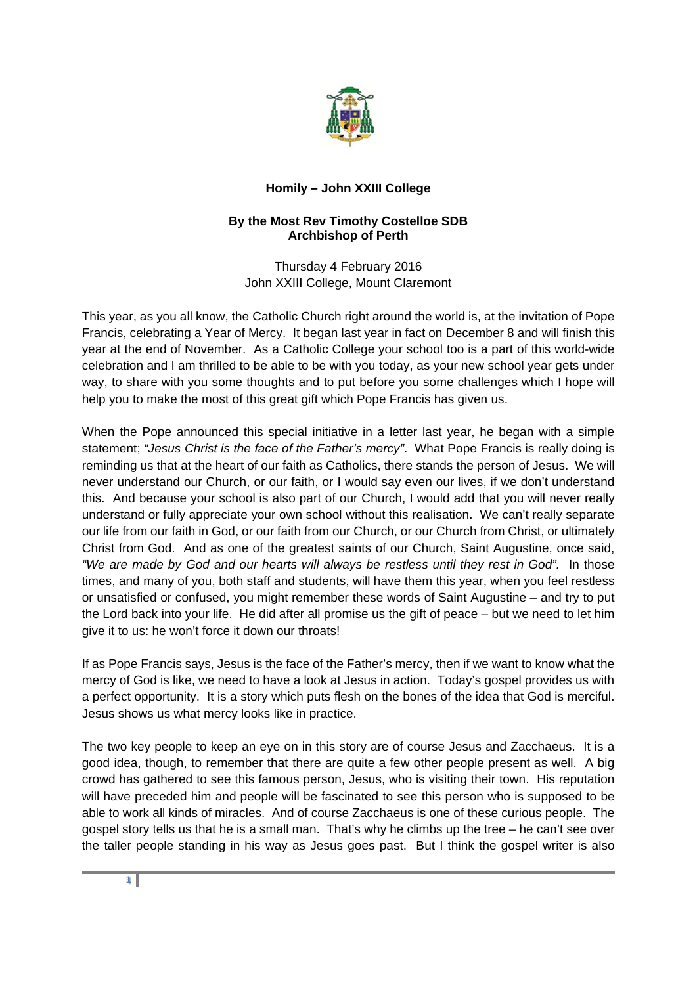

## **Homily – John XXIII College**

## **By the Most Rev Timothy Costelloe SDB Archbishop of Perth**

Thursday 4 February 2016 John XXIII College, Mount Claremont

This year, as you all know, the Catholic Church right around the world is, at the invitation of Pope Francis, celebrating a Year of Mercy. It began last year in fact on December 8 and will finish this year at the end of November. As a Catholic College your school too is a part of this world-wide celebration and I am thrilled to be able to be with you today, as your new school year gets under way, to share with you some thoughts and to put before you some challenges which I hope will help you to make the most of this great gift which Pope Francis has given us.

When the Pope announced this special initiative in a letter last year, he began with a simple statement; *"Jesus Christ is the face of the Father's mercy"*. What Pope Francis is really doing is reminding us that at the heart of our faith as Catholics, there stands the person of Jesus. We will never understand our Church, or our faith, or I would say even our lives, if we don't understand this. And because your school is also part of our Church, I would add that you will never really understand or fully appreciate your own school without this realisation. We can't really separate our life from our faith in God, or our faith from our Church, or our Church from Christ, or ultimately Christ from God. And as one of the greatest saints of our Church, Saint Augustine, once said, *"We are made by God and our hearts will always be restless until they rest in God".* In those times, and many of you, both staff and students, will have them this year, when you feel restless or unsatisfied or confused, you might remember these words of Saint Augustine – and try to put the Lord back into your life. He did after all promise us the gift of peace – but we need to let him give it to us: he won't force it down our throats!

If as Pope Francis says, Jesus is the face of the Father's mercy, then if we want to know what the mercy of God is like, we need to have a look at Jesus in action. Today's gospel provides us with a perfect opportunity. It is a story which puts flesh on the bones of the idea that God is merciful. Jesus shows us what mercy looks like in practice.

The two key people to keep an eye on in this story are of course Jesus and Zacchaeus. It is a good idea, though, to remember that there are quite a few other people present as well. A big crowd has gathered to see this famous person, Jesus, who is visiting their town. His reputation will have preceded him and people will be fascinated to see this person who is supposed to be able to work all kinds of miracles. And of course Zacchaeus is one of these curious people. The gospel story tells us that he is a small man. That's why he climbs up the tree – he can't see over the taller people standing in his way as Jesus goes past. But I think the gospel writer is also